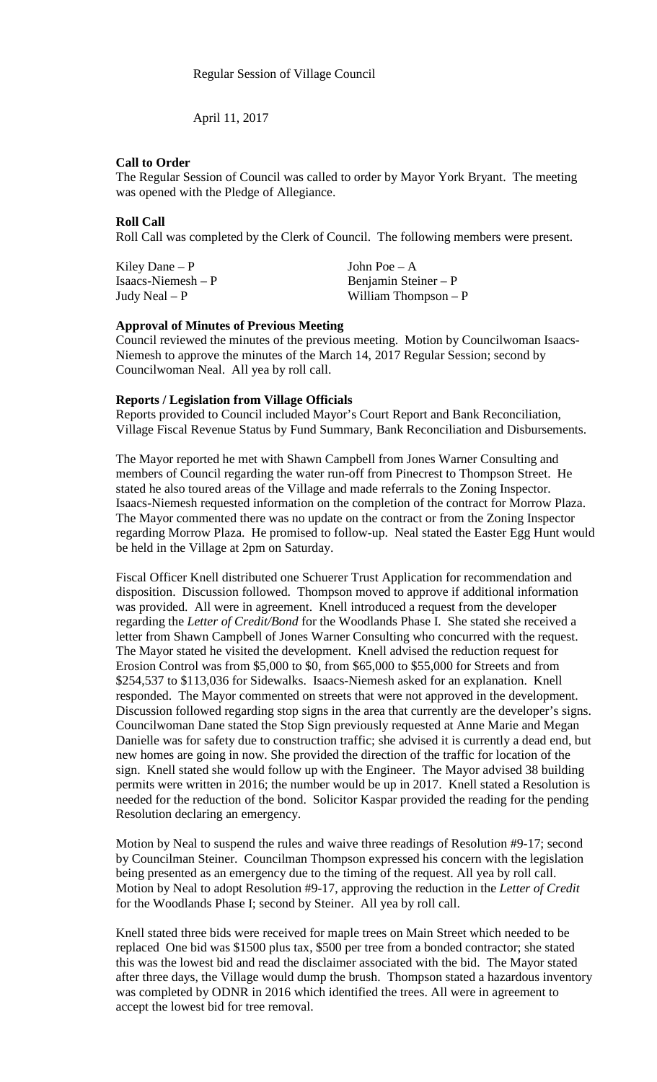April 11, 2017

### **Call to Order**

The Regular Session of Council was called to order by Mayor York Bryant. The meeting was opened with the Pledge of Allegiance.

### **Roll Call**

Roll Call was completed by the Clerk of Council. The following members were present.

| Kiley Dane $-P$     | John Poe $- A$        |
|---------------------|-----------------------|
| Isaacs-Niemesh $-P$ | Benjamin Steiner $-P$ |
| Judy Neal $- P$     | William Thompson $-P$ |

#### **Approval of Minutes of Previous Meeting**

Council reviewed the minutes of the previous meeting. Motion by Councilwoman Isaacs-Niemesh to approve the minutes of the March 14, 2017 Regular Session; second by Councilwoman Neal. All yea by roll call.

#### **Reports / Legislation from Village Officials**

Reports provided to Council included Mayor's Court Report and Bank Reconciliation, Village Fiscal Revenue Status by Fund Summary, Bank Reconciliation and Disbursements.

The Mayor reported he met with Shawn Campbell from Jones Warner Consulting and members of Council regarding the water run-off from Pinecrest to Thompson Street. He stated he also toured areas of the Village and made referrals to the Zoning Inspector. Isaacs-Niemesh requested information on the completion of the contract for Morrow Plaza. The Mayor commented there was no update on the contract or from the Zoning Inspector regarding Morrow Plaza. He promised to follow-up. Neal stated the Easter Egg Hunt would be held in the Village at 2pm on Saturday.

Fiscal Officer Knell distributed one Schuerer Trust Application for recommendation and disposition. Discussion followed. Thompson moved to approve if additional information was provided. All were in agreement. Knell introduced a request from the developer regarding the *Letter of Credit/Bond* for the Woodlands Phase I. She stated she received a letter from Shawn Campbell of Jones Warner Consulting who concurred with the request. The Mayor stated he visited the development. Knell advised the reduction request for Erosion Control was from \$5,000 to \$0, from \$65,000 to \$55,000 for Streets and from \$254,537 to \$113,036 for Sidewalks. Isaacs-Niemesh asked for an explanation. Knell responded. The Mayor commented on streets that were not approved in the development. Discussion followed regarding stop signs in the area that currently are the developer's signs. Councilwoman Dane stated the Stop Sign previously requested at Anne Marie and Megan Danielle was for safety due to construction traffic; she advised it is currently a dead end, but new homes are going in now. She provided the direction of the traffic for location of the sign. Knell stated she would follow up with the Engineer. The Mayor advised 38 building permits were written in 2016; the number would be up in 2017. Knell stated a Resolution is needed for the reduction of the bond. Solicitor Kaspar provided the reading for the pending Resolution declaring an emergency.

Motion by Neal to suspend the rules and waive three readings of Resolution #9-17; second by Councilman Steiner. Councilman Thompson expressed his concern with the legislation being presented as an emergency due to the timing of the request. All yea by roll call. Motion by Neal to adopt Resolution #9-17, approving the reduction in the *Letter of Credit* for the Woodlands Phase I; second by Steiner. All yea by roll call.

Knell stated three bids were received for maple trees on Main Street which needed to be replaced One bid was \$1500 plus tax, \$500 per tree from a bonded contractor; she stated this was the lowest bid and read the disclaimer associated with the bid. The Mayor stated after three days, the Village would dump the brush. Thompson stated a hazardous inventory was completed by ODNR in 2016 which identified the trees. All were in agreement to accept the lowest bid for tree removal.